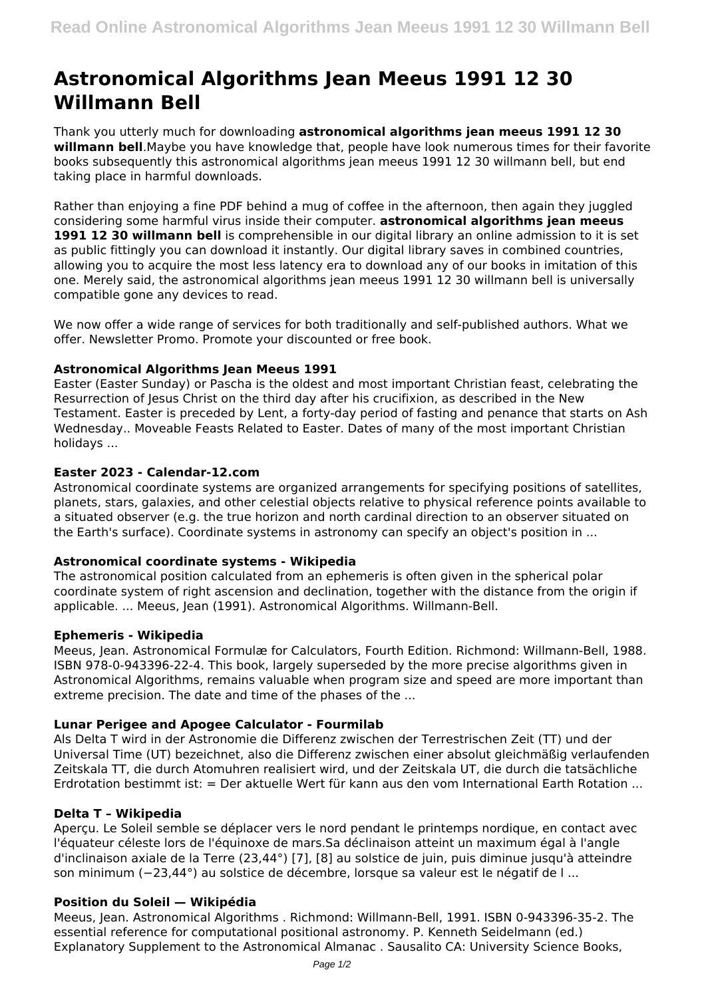# **Astronomical Algorithms Jean Meeus 1991 12 30 Willmann Bell**

Thank you utterly much for downloading **astronomical algorithms jean meeus 1991 12 30 willmann bell**.Maybe you have knowledge that, people have look numerous times for their favorite books subsequently this astronomical algorithms jean meeus 1991 12 30 willmann bell, but end taking place in harmful downloads.

Rather than enjoying a fine PDF behind a mug of coffee in the afternoon, then again they juggled considering some harmful virus inside their computer. **astronomical algorithms jean meeus 1991 12 30 willmann bell** is comprehensible in our digital library an online admission to it is set as public fittingly you can download it instantly. Our digital library saves in combined countries, allowing you to acquire the most less latency era to download any of our books in imitation of this one. Merely said, the astronomical algorithms jean meeus 1991 12 30 willmann bell is universally compatible gone any devices to read.

We now offer a wide range of services for both traditionally and self-published authors. What we offer. Newsletter Promo. Promote your discounted or free book.

# **Astronomical Algorithms Jean Meeus 1991**

Easter (Easter Sunday) or Pascha is the oldest and most important Christian feast, celebrating the Resurrection of Jesus Christ on the third day after his crucifixion, as described in the New Testament. Easter is preceded by Lent, a forty-day period of fasting and penance that starts on Ash Wednesday.. Moveable Feasts Related to Easter. Dates of many of the most important Christian holidays ...

#### **Easter 2023 - Calendar-12.com**

Astronomical coordinate systems are organized arrangements for specifying positions of satellites, planets, stars, galaxies, and other celestial objects relative to physical reference points available to a situated observer (e.g. the true horizon and north cardinal direction to an observer situated on the Earth's surface). Coordinate systems in astronomy can specify an object's position in ...

# **Astronomical coordinate systems - Wikipedia**

The astronomical position calculated from an ephemeris is often given in the spherical polar coordinate system of right ascension and declination, together with the distance from the origin if applicable. ... Meeus, Jean (1991). Astronomical Algorithms. Willmann-Bell.

#### **Ephemeris - Wikipedia**

Meeus, Jean. Astronomical Formulæ for Calculators, Fourth Edition. Richmond: Willmann-Bell, 1988. ISBN 978-0-943396-22-4. This book, largely superseded by the more precise algorithms given in Astronomical Algorithms, remains valuable when program size and speed are more important than extreme precision. The date and time of the phases of the ...

# **Lunar Perigee and Apogee Calculator - Fourmilab**

Als Delta T wird in der Astronomie die Differenz zwischen der Terrestrischen Zeit (TT) und der Universal Time (UT) bezeichnet, also die Differenz zwischen einer absolut gleichmäßig verlaufenden Zeitskala TT, die durch Atomuhren realisiert wird, und der Zeitskala UT, die durch die tatsächliche Erdrotation bestimmt ist: = Der aktuelle Wert für kann aus den vom International Earth Rotation ...

# **Delta T – Wikipedia**

Aperçu. Le Soleil semble se déplacer vers le nord pendant le printemps nordique, en contact avec l'équateur céleste lors de l'équinoxe de mars.Sa déclinaison atteint un maximum égal à l'angle d'inclinaison axiale de la Terre (23,44°) [7], [8] au solstice de juin, puis diminue jusqu'à atteindre son minimum (−23,44°) au solstice de décembre, lorsque sa valeur est le négatif de l ...

# **Position du Soleil — Wikipédia**

Meeus, Jean. Astronomical Algorithms . Richmond: Willmann-Bell, 1991. ISBN 0-943396-35-2. The essential reference for computational positional astronomy. P. Kenneth Seidelmann (ed.) Explanatory Supplement to the Astronomical Almanac . Sausalito CA: University Science Books,